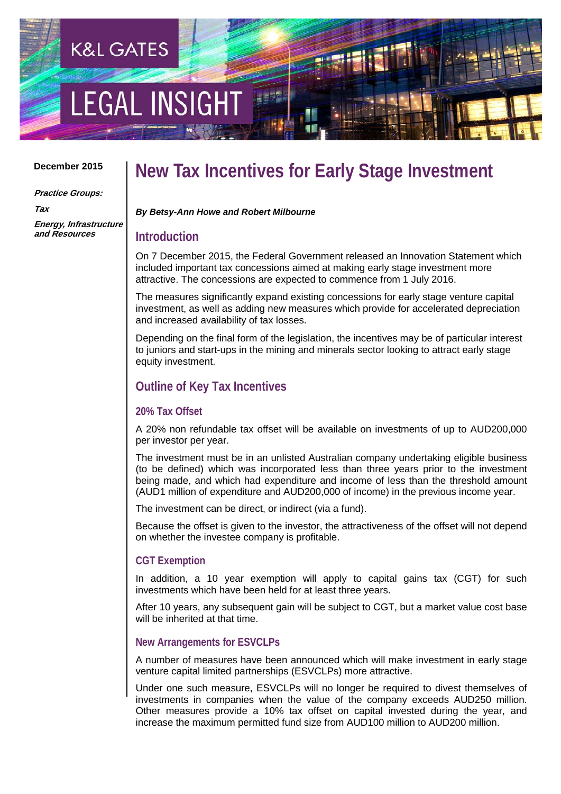# **LEGAL INSIGH**

**K&L GATES** 

#### **December 2015**

**Practice Groups:**

**Tax Energy, Infrastructure and Resources**

### **New Tax Incentives for Early Stage Investment**

*By Betsy-Ann Howe and Robert Milbourne*

#### **Introduction**

On 7 December 2015, the Federal Government released an Innovation Statement which included important tax concessions aimed at making early stage investment more attractive. The concessions are expected to commence from 1 July 2016.

The measures significantly expand existing concessions for early stage venture capital investment, as well as adding new measures which provide for accelerated depreciation and increased availability of tax losses.

Depending on the final form of the legislation, the incentives may be of particular interest to juniors and start-ups in the mining and minerals sector looking to attract early stage equity investment.

#### **Outline of Key Tax Incentives**

#### **20% Tax Offset**

A 20% non refundable tax offset will be available on investments of up to AUD200,000 per investor per year.

The investment must be in an unlisted Australian company undertaking eligible business (to be defined) which was incorporated less than three years prior to the investment being made, and which had expenditure and income of less than the threshold amount (AUD1 million of expenditure and AUD200,000 of income) in the previous income year.

The investment can be direct, or indirect (via a fund).

Because the offset is given to the investor, the attractiveness of the offset will not depend on whether the investee company is profitable.

#### **CGT Exemption**

In addition, a 10 year exemption will apply to capital gains tax (CGT) for such investments which have been held for at least three years.

After 10 years, any subsequent gain will be subject to CGT, but a market value cost base will be inherited at that time.

#### **New Arrangements for ESVCLPs**

A number of measures have been announced which will make investment in early stage venture capital limited partnerships (ESVCLPs) more attractive.

Under one such measure, ESVCLPs will no longer be required to divest themselves of investments in companies when the value of the company exceeds AUD250 million. Other measures provide a 10% tax offset on capital invested during the year, and increase the maximum permitted fund size from AUD100 million to AUD200 million.